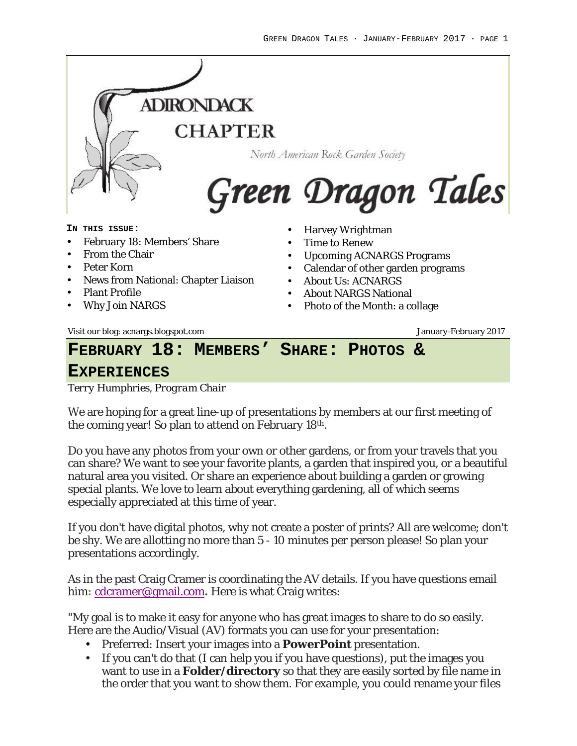

- Peter Korn
- News from National: Chapter Liaison
- Plant Profile
- Why Join NARGS
- Calendar of other garden programs
- About Us: ACNARGS
- About NARGS National
- Photo of the Month: a collage

Visit our blog: acnargs.blogspot.com and a series of the series of the series of the January-February 2017

# **FEBRUARY 18: MEMBERS' SHARE: PHOTOS &**

#### **EXPERIENCES**

*Terry Humphries, Program Chair*

We are hoping for a great line-up of presentations by members at our first meeting of the coming year! So plan to attend on February 18th.

Do you have any photos from your own or other gardens, or from your travels that you can share? We want to see your favorite plants, a garden that inspired you, or a beautiful natural area you visited. Or share an experience about building a garden or growing special plants. We love to learn about everything gardening, all of which seems especially appreciated at this time of year.

If you don't have digital photos, why not create a poster of prints? All are welcome; don't be shy. We are allotting no more than 5 - 10 minutes per person please! So plan your presentations accordingly.

As in the past Craig Cramer is coordinating the AV details. If you have questions email him**:** cdcramer@gmail.com**.** Here is what Craig writes:

"My goal is to make it easy for anyone who has great images to share to do so easily. Here are the Audio/Visual (AV) formats you can use for your presentation:

- Preferred: Insert your images into a **PowerPoint** presentation.
- If you can't do that (I can help you if you have questions), put the images you want to use in a **Folder/directory** so that they are easily sorted by file name in the order that you want to show them. For example, you could rename your files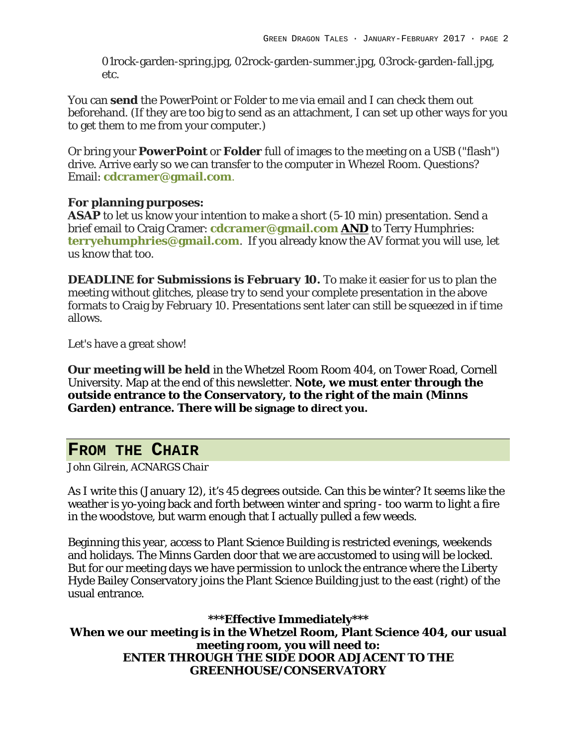01rock-garden-spring.jpg, 02rock-garden-summer.jpg, 03rock-garden-fall.jpg, etc.

You can **send** the PowerPoint or Folder to me via email and I can check them out beforehand. (If they are too big to send as an attachment, I can set up other ways for you to get them to me from your computer.)

Or bring your **PowerPoint** or **Folder** full of images to the meeting on a USB ("flash") drive. Arrive early so we can transfer to the computer in Whezel Room. Questions? Email: **cdcramer@gmail.com**.

#### **For planning purposes:**

**ASAP** to let us know your intention to make a short (5-10 min) presentation*.* Send a brief email to Craig Cramer: **cdcramer@gmail.com AND** to Terry Humphries: **terryehumphries@gmail.com**. If you already know the AV format you will use, let us know that too.

**DEADLINE for Submissions is February 10.** To make it easier for us to plan the meeting without glitches, please try to send your complete presentation in the above formats to Craig by February 10. Presentations sent later can still be squeezed in if time allows.

Let's have a great show!

**Our meeting will be held** in the Whetzel Room Room 404, on Tower Road, Cornell University. Map at the end of this newsletter. **Note, we must enter through the outside entrance to the Conservatory, to the right of the main (Minns Garden) entrance. There will be signage to direct you.**

### **FROM THE CHAIR**

#### *John Gilrein, ACNARGS Chair*

As I write this (January 12), it's 45 degrees outside. Can this be winter? It seems like the weather is yo-yoing back and forth between winter and spring - too warm to light a fire in the woodstove, but warm enough that I actually pulled a few weeds.

Beginning this year, access to Plant Science Building is restricted evenings, weekends and holidays. The Minns Garden door that we are accustomed to using will be locked. But for our meeting days we have permission to unlock the entrance where the Liberty Hyde Bailey Conservatory joins the Plant Science Building just to the east (right) of the usual entrance.

**\*\*\*Effective Immediately\*\*\* When we our meeting is in the Whetzel Room, Plant Science 404, our usual meeting room, you will need to: ENTER THROUGH THE SIDE DOOR ADJACENT TO THE GREENHOUSE/CONSERVATORY**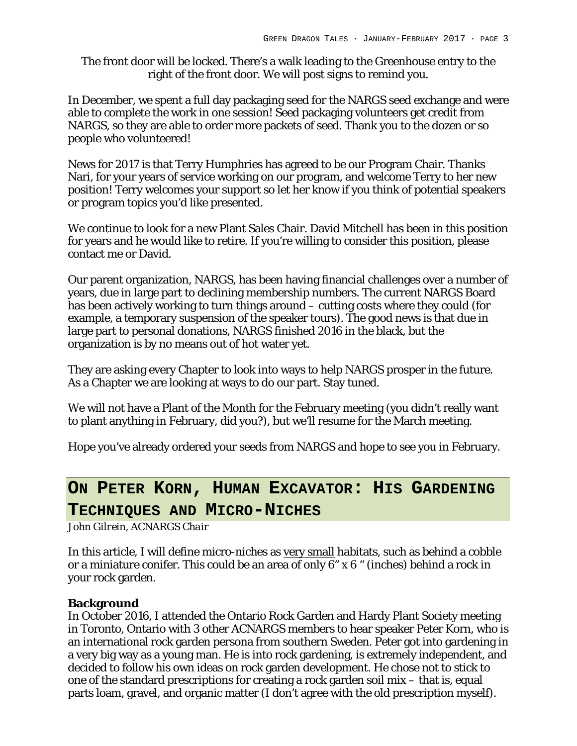The front door will be locked. There's a walk leading to the Greenhouse entry to the right of the front door. We will post signs to remind you.

In December, we spent a full day packaging seed for the NARGS seed exchange and were able to complete the work in one session! Seed packaging volunteers get credit from NARGS, so they are able to order more packets of seed. Thank you to the dozen or so people who volunteered!

News for 2017 is that Terry Humphries has agreed to be our Program Chair. Thanks Nari, for your years of service working on our program, and welcome Terry to her new position! Terry welcomes your support so let her know if you think of potential speakers or program topics you'd like presented.

We continue to look for a new Plant Sales Chair. David Mitchell has been in this position for years and he would like to retire. If you're willing to consider this position, please contact me or David.

Our parent organization, NARGS, has been having financial challenges over a number of years, due in large part to declining membership numbers. The current NARGS Board has been actively working to turn things around – cutting costs where they could (for example, a temporary suspension of the speaker tours). The good news is that due in large part to personal donations, NARGS finished 2016 in the black, but the organization is by no means out of hot water yet.

They are asking every Chapter to look into ways to help NARGS prosper in the future. As a Chapter we are looking at ways to do our part. Stay tuned.

We will not have a Plant of the Month for the February meeting (you didn't really want to plant anything in February, did you?), but we'll resume for the March meeting.

Hope you've already ordered your seeds from NARGS and hope to see you in February.

# **ON PETER KORN, HUMAN EXCAVATOR: HIS GARDENING TECHNIQUES AND MICRO-NICHES**

*John Gilrein, ACNARGS Chair*

In this article, I will define micro-niches as very small habitats, such as behind a cobble or a miniature conifer. This could be an area of only 6" x 6 " (inches) behind a rock in your rock garden.

#### **Background**

In October 2016, I attended the Ontario Rock Garden and Hardy Plant Society meeting in Toronto, Ontario with 3 other ACNARGS members to hear speaker Peter Korn, who is an international rock garden persona from southern Sweden. Peter got into gardening in a very big way as a young man. He is into rock gardening, is extremely independent, and decided to follow his own ideas on rock garden development. He chose not to stick to one of the standard prescriptions for creating a rock garden soil mix – that is, equal parts loam, gravel, and organic matter (I don't agree with the old prescription myself).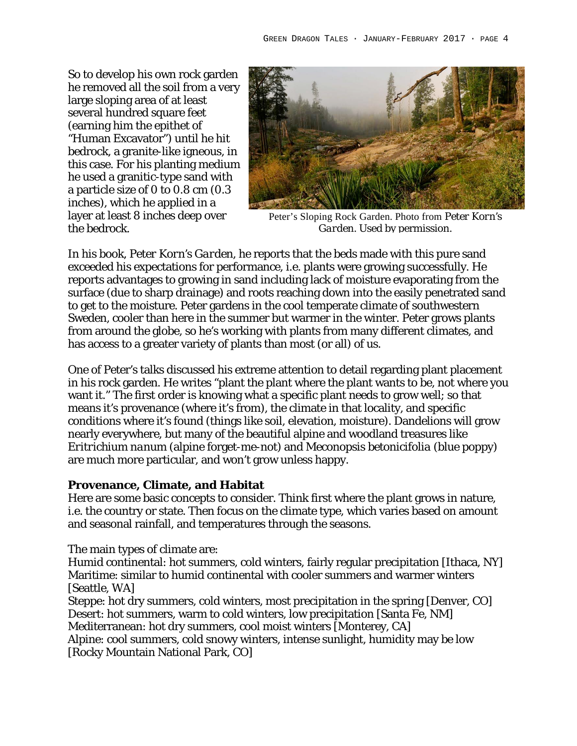So to develop his own rock garden he removed all the soil from a very large sloping area of at least several hundred square feet (earning him the epithet of "Human Excavator") until he hit bedrock, a granite-like igneous, in this case. For his planting medium he used a granitic-type sand with a particle size of 0 to 0.8 cm (0.3 inches), which he applied in a layer at least 8 inches deep over the bedrock.



Peter's Sloping Rock Garden. Photo from *Peter Korn's Garden.* Used by permission.

In his book, *Peter Korn's Garden*, he reports that the beds made with this pure sand exceeded his expectations for performance, i.e. plants were growing successfully. He reports advantages to growing in sand including lack of moisture evaporating from the surface (due to sharp drainage) and roots reaching down into the easily penetrated sand to get to the moisture. Peter gardens in the cool temperate climate of southwestern Sweden, cooler than here in the summer but warmer in the winter. Peter grows plants from around the globe, so he's working with plants from many different climates, and has access to a greater variety of plants than most (or all) of us.

One of Peter's talks discussed his extreme attention to detail regarding plant placement in his rock garden. He writes "plant the plant where the plant wants to be, not where you want it." The first order is knowing what a specific plant needs to grow well; so that means it's provenance (where it's from), the climate in that locality, and specific conditions where it's found (things like soil, elevation, moisture). Dandelions will grow nearly everywhere, but many of the beautiful alpine and woodland treasures like *Eritrichium nanum* (alpine forget-me-not) and *Meconopsis betonicifolia* (blue poppy) are much more particular, and won't grow unless happy.

#### **Provenance, Climate, and Habitat**

Here are some basic concepts to consider. Think first where the plant grows in nature, i.e. the country or state. Then focus on the climate type, which varies based on amount and seasonal rainfall, and temperatures through the seasons.

#### The main types of climate are:

Humid continental: hot summers, cold winters, fairly regular precipitation [Ithaca, NY] Maritime: similar to humid continental with cooler summers and warmer winters [Seattle, WA]

Steppe: hot dry summers, cold winters, most precipitation in the spring [Denver, CO] Desert: hot summers, warm to cold winters, low precipitation [Santa Fe, NM] Mediterranean: hot dry summers, cool moist winters [Monterey, CA] Alpine: cool summers, cold snowy winters, intense sunlight, humidity may be low [Rocky Mountain National Park, CO]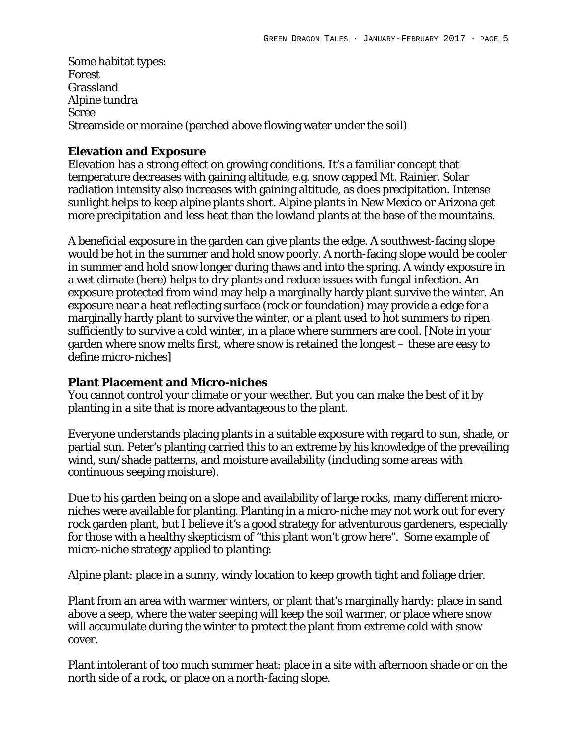Some habitat types: Forest Grassland Alpine tundra Scree Streamside or moraine (perched above flowing water under the soil)

#### **Elevation and Exposure**

Elevation has a strong effect on growing conditions. It's a familiar concept that temperature decreases with gaining altitude, e.g. snow capped Mt. Rainier. Solar radiation intensity also increases with gaining altitude, as does precipitation. Intense sunlight helps to keep alpine plants short. Alpine plants in New Mexico or Arizona get more precipitation and less heat than the lowland plants at the base of the mountains.

A beneficial exposure in the garden can give plants the edge. A southwest-facing slope would be hot in the summer and hold snow poorly. A north-facing slope would be cooler in summer and hold snow longer during thaws and into the spring. A windy exposure in a wet climate (here) helps to dry plants and reduce issues with fungal infection. An exposure protected from wind may help a marginally hardy plant survive the winter. An exposure near a heat reflecting surface (rock or foundation) may provide a edge for a marginally hardy plant to survive the winter, or a plant used to hot summers to ripen sufficiently to survive a cold winter, in a place where summers are cool. [Note in your garden where snow melts first, where snow is retained the longest – these are easy to define micro-niches]

#### **Plant Placement and Micro-niches**

You cannot control your climate or your weather. But you can make the best of it by planting in a site that is more advantageous to the plant.

Everyone understands placing plants in a suitable exposure with regard to sun, shade, or partial sun. Peter's planting carried this to an extreme by his knowledge of the prevailing wind, sun/shade patterns, and moisture availability (including some areas with continuous seeping moisture).

Due to his garden being on a slope and availability of large rocks, many different microniches were available for planting. Planting in a micro-niche may not work out for every rock garden plant, but I believe it's a good strategy for adventurous gardeners, especially for those with a healthy skepticism of "this plant won't grow here". Some example of micro-niche strategy applied to planting:

Alpine plant: place in a sunny, windy location to keep growth tight and foliage drier.

Plant from an area with warmer winters, or plant that's marginally hardy: place in sand above a seep, where the water seeping will keep the soil warmer, or place where snow will accumulate during the winter to protect the plant from extreme cold with snow cover.

Plant intolerant of too much summer heat: place in a site with afternoon shade or on the north side of a rock, or place on a north-facing slope.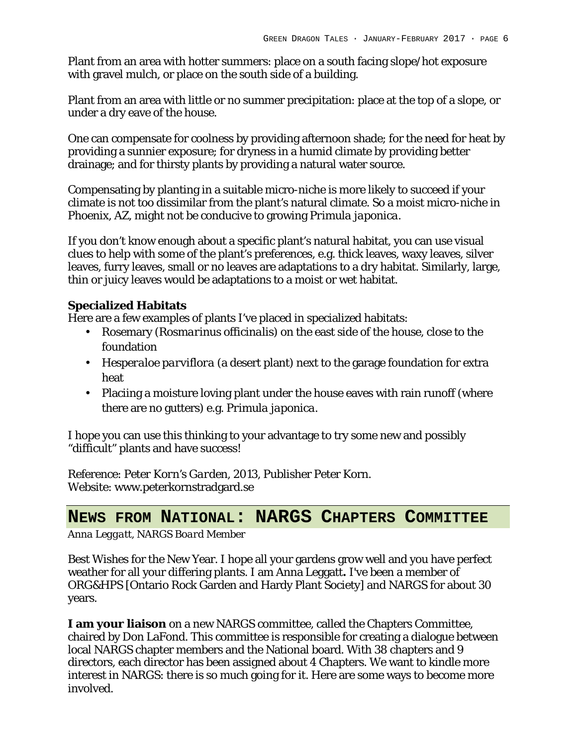Plant from an area with hotter summers: place on a south facing slope/hot exposure with gravel mulch, or place on the south side of a building.

Plant from an area with little or no summer precipitation: place at the top of a slope, or under a dry eave of the house.

One can compensate for coolness by providing afternoon shade; for the need for heat by providing a sunnier exposure; for dryness in a humid climate by providing better drainage; and for thirsty plants by providing a natural water source.

Compensating by planting in a suitable micro-niche is more likely to succeed if your climate is not too dissimilar from the plant's natural climate. So a moist micro-niche in Phoenix, AZ, might not be conducive to growing *Primula japonica.*

If you don't know enough about a specific plant's natural habitat, you can use visual clues to help with some of the plant's preferences, e.g. thick leaves, waxy leaves, silver leaves, furry leaves, small or no leaves are adaptations to a dry habitat. Similarly, large, thin or juicy leaves would be adaptations to a moist or wet habitat.

#### **Specialized Habitats**

Here are a few examples of plants I've placed in specialized habitats:

- Rosemary (*Rosmarinus officinalis*) on the east side of the house, close to the foundation
- *Hesperaloe parviflora* (a desert plant) next to the garage foundation for extra heat
- Placiing a moisture loving plant under the house eaves with rain runoff (where there are no gutters) e.g. *Primula japonica.*

I hope you can use this thinking to your advantage to try some new and possibly "difficult" plants and have success!

Reference: *Peter Korn's Garden*, 2013, Publisher Peter Korn. Website: www.peterkornstradgard.se

### NEWS FROM NATIONAL: NARGS CHAPTERS COMMITTEE

*Anna Leggatt, NARGS Board Member*

Best Wishes for the New Year. I hope all your gardens grow well and you have perfect weather for all your differing plants. I am Anna Leggatt**.** I've been a member of ORG&HPS [Ontario Rock Garden and Hardy Plant Society] and NARGS for about 30 years.

**I am your liaison** on a new NARGS committee, called the Chapters Committee, chaired by Don LaFond. This committee is responsible for creating a dialogue between local NARGS chapter members and the National board. With 38 chapters and 9 directors, each director has been assigned about 4 Chapters. We want to kindle more interest in NARGS: there is so much going for it. Here are some ways to become more involved.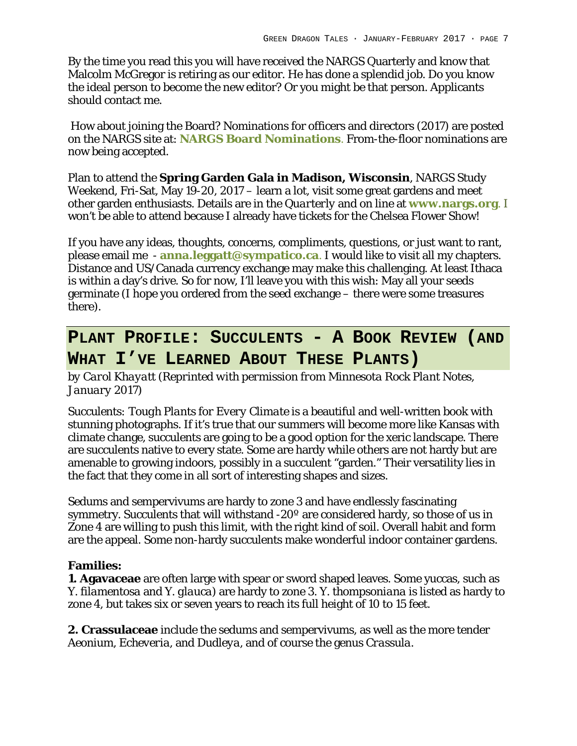By the time you read this you will have received the NARGS Quarterly and know that Malcolm McGregor is retiring as our editor. He has done a splendid job. Do you know the ideal person to become the new editor? Or you might be that person. Applicants should contact me.

How about joining the Board? Nominations for officers and directors (2017) are posted on the NARGS site at: **NARGS Board Nominations**. From-the-floor nominations are now being accepted.

Plan to attend the **Spring Garden Gala in Madison, Wisconsin**, NARGS Study Weekend, Fri-Sat, May 19-20, 2017 – learn a lot, visit some great gardens and meet other garden enthusiasts. Details are in the *Quarterly* and on line at **www.nargs.org**. I won't be able to attend because I already have tickets for the Chelsea Flower Show!

If you have any ideas, thoughts, concerns, compliments, questions, or just want to rant, please email me - **anna.leggatt@sympatico.ca**. I would like to visit all my chapters. Distance and US/Canada currency exchange may make this challenging. At least Ithaca is within a day's drive. So for now, I'll leave you with this wish: May all your seeds germinate (I hope you ordered from the seed exchange – there were some treasures there).

# **PLANT PROFILE: SUCCULENTS - A BOOK REVIEW (AND WHAT I'VE LEARNED ABOUT THESE PLANTS)**

*by Carol Khayatt (Reprinted with permission from Minnesota Rock Plant Notes, January 2017)*

*Succulents: Tough Plants for Every Climate* is a beautiful and well-written book with stunning photographs. If it's true that our summers will become more like Kansas with climate change, succulents are going to be a good option for the xeric landscape. There are succulents native to every state. Some are hardy while others are not hardy but are amenable to growing indoors, possibly in a succulent "garden." Their versatility lies in the fact that they come in all sort of interesting shapes and sizes.

Sedums and sempervivums are hardy to zone 3 and have endlessly fascinating symmetry. Succulents that will withstand -20° are considered hardy, so those of us in Zone 4 are willing to push this limit, with the right kind of soil. Overall habit and form are the appeal. Some non-hardy succulents make wonderful indoor container gardens.

#### **Families:**

**1. Agavaceae** are often large with spear or sword shaped leaves. Some yuccas, such as Y. *filamentosa* and *Y. glauca*) are hardy to zone 3. *Y. thompsoniana* is listed as hardy to zone 4, but takes six or seven years to reach its full height of 10 to 15 feet.

**2. Crassulaceae** include the sedums and sempervivums, as well as the more tender *Aeonium, Echeveria*, and *Dudleya*, and of course the genus *Crassula*.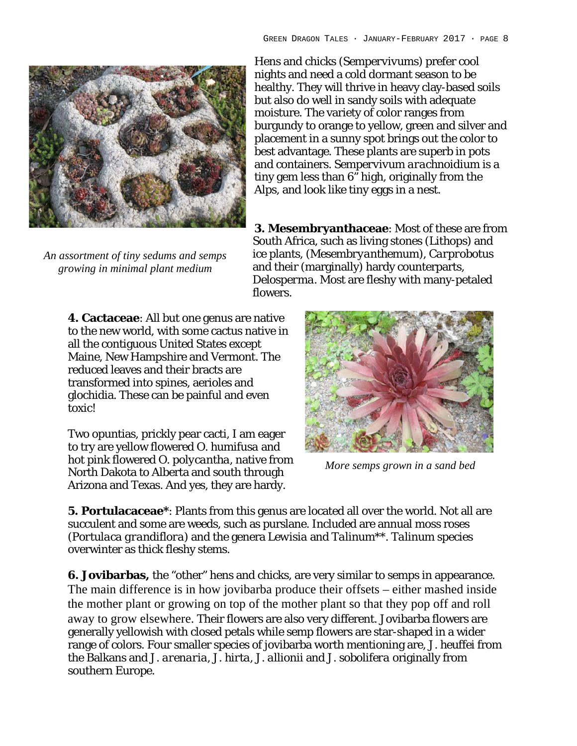

Hens and chicks (S*empervivums*) prefer cool nights and need a cold dormant season to be healthy. They will thrive in heavy clay-based soils but also do well in sandy soils with adequate moisture. The variety of color ranges from burgundy to orange to yellow, green and silver and placement in a sunny spot brings out the color to best advantage. These plants are superb in pots and containers. *Sempervivum arachnoidium* is a tiny gem less than 6" high, originally from the Alps, and look like tiny eggs in a nest.

*An assortment of tiny sedums and semps growing in minimal plant medium*

**3. Mesembryanthaceae**: Most of these are from South Africa, such as living stones (*Lithops)* and ice plants, (*Mesembryanthemum*), *Carprobotus* and their (marginally) hardy counterparts, *Delosperma*. Most are fleshy with many-petaled flowers.

**4. Cactaceae**: All but one genus are native to the new world, with some cactus native in all the contiguous United States except Maine, New Hampshire and Vermont. The reduced leaves and their bracts are transformed into spines, aerioles and glochidia. These can be painful and even toxic!

Two opuntias, prickly pear cacti, I am eager to try are yellow flowered *O. humifusa* and hot pink flowered *O. polycantha,* native from North Dakota to Alberta and south through Arizona and Texas. And yes, they are hardy.



*More semps grown in a sand bed*

**5. Portulacaceae\***: Plants from this genus are located all over the world. Not all are succulent and some are weeds, such as purslane. Included are annual moss roses (*Portulaca grandiflora*) and the genera *Lewisia* and *Talinum*\*\*. *Talinum* species overwinter as thick fleshy stems.

**6. Jovibarbas,** the "other" hens and chicks, are very similar to semps in appearance. The main difference is in how jovibarba produce their offsets – either mashed inside the mother plant or growing on top of the mother plant so that they pop off and roll away to grow elsewhere. Their flowers are also very different. Jovibarba flowers are generally yellowish with closed petals while semp flowers are star-shaped in a wider range of colors. Four smaller species of jovibarba worth mentioning are, *J. heuffei* from the Balkans and *J. arenaria*, *J. hirta, J. allionii* and J. *sobolifera* originally from southern Europe.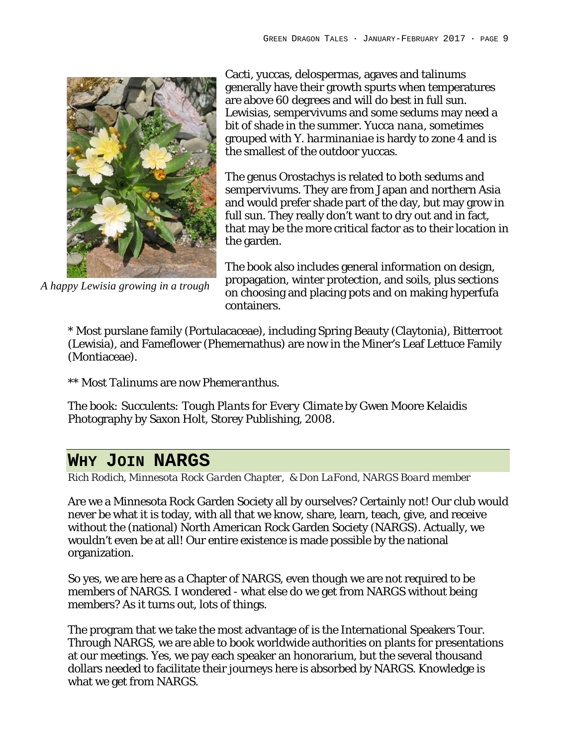

*A happy Lewisia growing in a trough*

Cacti, yuccas, delospermas, agaves and talinums generally have their growth spurts when temperatures are above 60 degrees and will do best in full sun. Lewisias, sempervivums and some sedums may need a bit of shade in the summer. *Yucca nana*, sometimes grouped with *Y. harminaniae* is hardy to zone 4 and is the smallest of the outdoor yuccas.

The genus Orostachys is related to both sedums and sempervivums. They are from Japan and northern Asia and would prefer shade part of the day, but may grow in full sun. They really don't want to dry out and in fact, that may be the more critical factor as to their location in the garden.

The book also includes general information on design, propagation, winter protection, and soils, plus sections on choosing and placing pots and on making hyperfufa containers.

\* Most purslane family (Portulacaceae), including Spring Beauty (Claytonia), Bitterroot (Lewisia), and Fameflower (Phemernathus) are now in the Miner's Leaf Lettuce Family (Montiaceae).

\*\* Most *Talinums* are now *Phemeranthus.*

The book*: Succulents: Tough Plants for Every Climate* by Gwen Moore Kelaidis Photography by Saxon Holt, Storey Publishing, 2008.

# **WHY JOIN NARGS**

*Rich Rodich, Minnesota Rock Garden Chapter, & Don LaFond, NARGS Board member* 

Are we a Minnesota Rock Garden Society all by ourselves? Certainly not! Our club would never be what it is today, with all that we know, share, learn, teach, give, and receive without the (national) North American Rock Garden Society (NARGS). Actually, we wouldn't even be at all! Our entire existence is made possible by the national organization.

So yes, we are here as a Chapter of NARGS, even though we are not required to be members of NARGS. I wondered - what else do we get from NARGS without being members? As it turns out, lots of things.

The program that we take the most advantage of is the International Speakers Tour. Through NARGS, we are able to book worldwide authorities on plants for presentations at our meetings. Yes, we pay each speaker an honorarium, but the several thousand dollars needed to facilitate their journeys here is absorbed by NARGS. Knowledge is what we get from NARGS.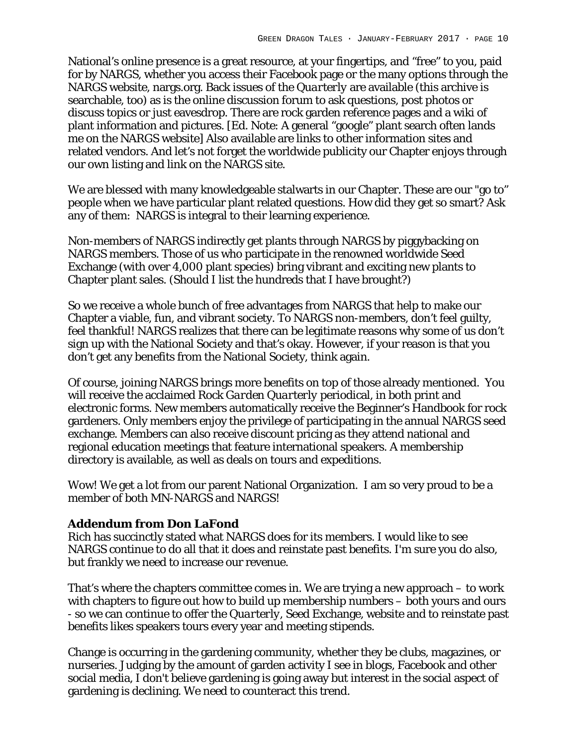National's online presence is a great resource, at your fingertips, and "free" to you, paid for by NARGS, whether you access their Facebook page or the many options through the NARGS website, nargs.org. Back issues of the *Quarterly* are available (this archive is searchable, too) as is the online discussion forum to ask questions, post photos or discuss topics or just eavesdrop. There are rock garden reference pages and a wiki of plant information and pictures. [Ed. Note: A general "google" plant search often lands me on the NARGS website] Also available are links to other information sites and related vendors. And let's not forget the worldwide publicity our Chapter enjoys through our own listing and link on the NARGS site.

We are blessed with many knowledgeable stalwarts in our Chapter. These are our "go to" people when we have particular plant related questions. How did they get so smart? Ask any of them: NARGS is integral to their learning experience.

Non-members of NARGS indirectly get plants through NARGS by piggybacking on NARGS members. Those of us who participate in the renowned worldwide Seed Exchange (with over 4,000 plant species) bring vibrant and exciting new plants to Chapter plant sales. (Should I list the hundreds that I have brought?)

So we receive a whole bunch of free advantages from NARGS that help to make our Chapter a viable, fun, and vibrant society. To NARGS non-members, don't feel guilty, feel thankful! NARGS realizes that there can be legitimate reasons why some of us don't sign up with the National Society and that's okay. However, if your reason is that you don't get any benefits from the National Society, think again.

Of course, joining NARGS brings more benefits on top of those already mentioned. You will receive the acclaimed *Rock Garden Quarterly* periodical, in both print and electronic forms. New members automatically receive the Beginner's Handbook for rock gardeners. Only members enjoy the privilege of participating in the annual NARGS seed exchange. Members can also receive discount pricing as they attend national and regional education meetings that feature international speakers. A membership directory is available, as well as deals on tours and expeditions.

Wow! We get a lot from our parent National Organization. I am so very proud to be a member of both MN-NARGS and NARGS!

#### **Addendum from Don LaFond**

Rich has succinctly stated what NARGS does for its members. I would like to see NARGS continue to do all that it does and reinstate past benefits. I'm sure you do also, but frankly we need to increase our revenue.

That's where the chapters committee comes in. We are trying a new approach – to work with chapters to figure out how to build up membership numbers – both yours and ours - so we can continue to offer the *Quarterly*, Seed Exchange, website and to reinstate past benefits likes speakers tours every year and meeting stipends.

Change is occurring in the gardening community, whether they be clubs, magazines, or nurseries. Judging by the amount of garden activity I see in blogs, Facebook and other social media, I don't believe gardening is going away but interest in the social aspect of gardening is declining. We need to counteract this trend.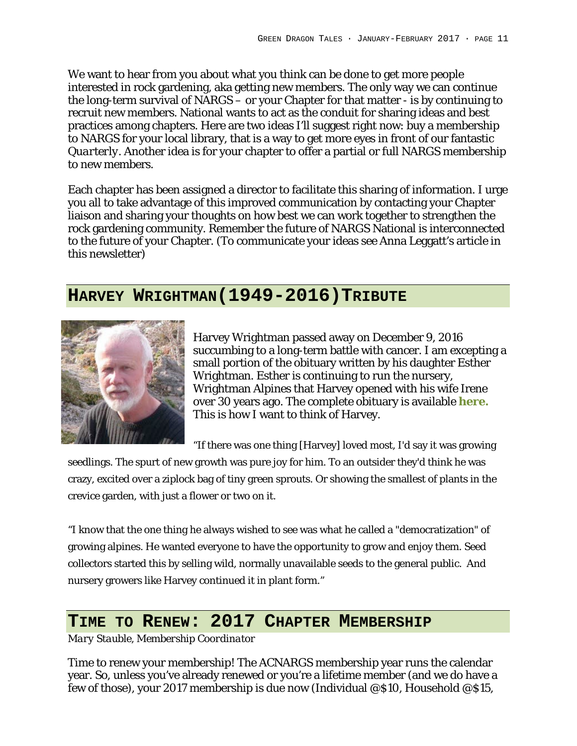We want to hear from you about what you think can be done to get more people interested in rock gardening, aka getting new members. The only way we can continue the long-term survival of NARGS – or your Chapter for that matter - is by continuing to recruit new members. National wants to act as the conduit for sharing ideas and best practices among chapters. Here are two ideas I'll suggest right now: buy a membership to NARGS for your local library, that is a way to get more eyes in front of our fantastic *Quarterly*. Another idea is for your chapter to offer a partial or full NARGS membership to new members.

Each chapter has been assigned a director to facilitate this sharing of information. I urge you all to take advantage of this improved communication by contacting your Chapter liaison and sharing your thoughts on how best we can work together to strengthen the rock gardening community. Remember the future of NARGS National is interconnected to the future of your Chapter. (To communicate your ideas see Anna Leggatt's article in this newsletter)

### **HARVEY WRIGHTMAN(1949-2016)TRIBUTE**



Harvey Wrightman passed away on December 9, 2016 succumbing to a long-term battle with cancer. I am excepting a small portion of the obituary written by his daughter Esther Wrightman. Esther is continuing to run the nursery, Wrightman Alpines that Harvey opened with his wife Irene over 30 years ago. The complete obituary is available **here.** This is how I want to think of Harvey.

"If there was one thing [Harvey] loved most, I'd say it was growing

seedlings. The spurt of new growth was pure joy for him. To an outsider they'd think he was crazy, excited over a ziplock bag of tiny green sprouts. Or showing the smallest of plants in the crevice garden, with just a flower or two on it.

"I know that the one thing he always wished to see was what he called a "democratization" of growing alpines. He wanted everyone to have the opportunity to grow and enjoy them. Seed collectors started this by selling wild, normally unavailable seeds to the general public. And nursery growers like Harvey continued it in plant form."

### **TIME TO RENEW: 2017 CHAPTER MEMBERSHIP**

*Mary Stauble, Membership Coordinator*

Time to renew your membership! The ACNARGS membership year runs the calendar year. So, unless you've already renewed or you're a lifetime member (and we do have a few of those), your 2017 membership is due now (Individual @\$10, Household @\$15,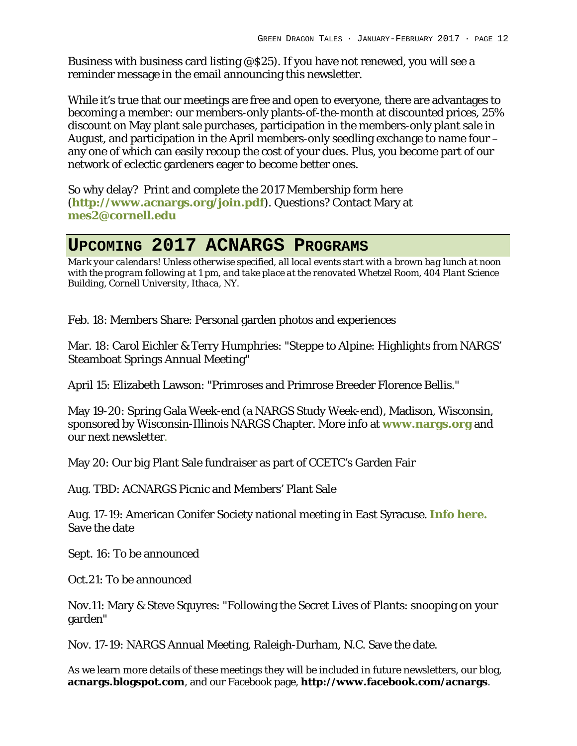Business with business card listing @\$25). If you have not renewed, you will see a reminder message in the email announcing this newsletter.

While it's true that our meetings are free and open to everyone, there are advantages to becoming a member: our members-only plants-of-the-month at discounted prices, 25% discount on May plant sale purchases, participation in the members-only plant sale in August, and participation in the April members-only seedling exchange to name four – any one of which can easily recoup the cost of your dues. Plus, you become part of our network of eclectic gardeners eager to become better ones.

So why delay? Print and complete the 2017 Membership form here (**http://www.acnargs.org/join.pdf**). Questions? Contact Mary at **mes2@cornell.edu**

### **UPCOMING 2017 ACNARGS PROGRAMS**

*Mark your calendars! Unless otherwise specified, all local events start with a brown bag lunch at noon with the program following at 1 pm, and take place at the renovated Whetzel Room, 404 Plant Science Building, Cornell University, Ithaca, NY.*

Feb. 18: Members Share: Personal garden photos and experiences

Mar. 18: Carol Eichler & Terry Humphries: "Steppe to Alpine: Highlights from NARGS' Steamboat Springs Annual Meeting"

April 15: Elizabeth Lawson: "Primroses and Primrose Breeder Florence Bellis."

May 19-20: Spring Gala Week-end (a NARGS Study Week-end), Madison, Wisconsin, sponsored by Wisconsin-Illinois NARGS Chapter. More info at **www.nargs.org** and our next newsletter.

May 20: Our big Plant Sale fundraiser as part of CCETC's Garden Fair

Aug. TBD: ACNARGS Picnic and Members' Plant Sale

Aug. 17-19: American Conifer Society national meeting in East Syracuse. **Info here.** Save the date

Sept. 16: To be announced

Oct.21: To be announced

Nov.11: Mary & Steve Squyres: "Following the Secret Lives of Plants: snooping on your garden"

Nov. 17-19: NARGS Annual Meeting, Raleigh-Durham, N.C. Save the date.

As we learn more details of these meetings they will be included in future newsletters, our blog, **acnargs.blogspot.com**, and our Facebook page, **http://www.facebook.com/acnargs**.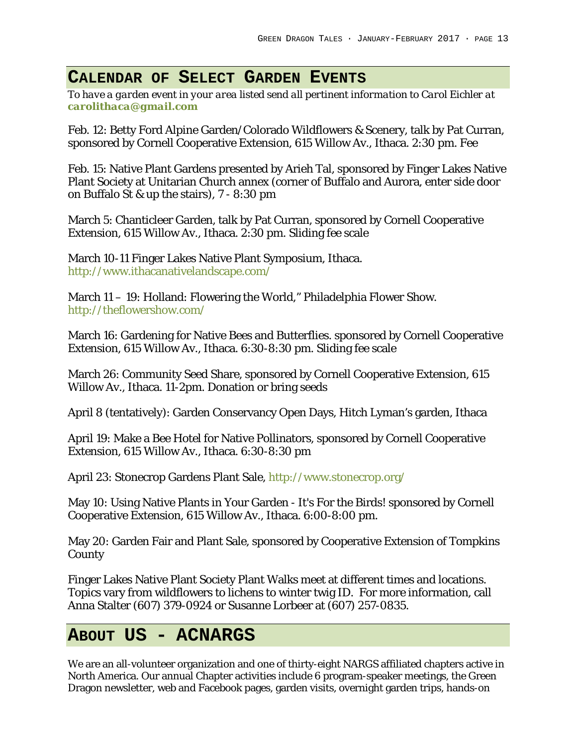### **CALENDAR OF SELECT GARDEN EVENTS**

*To have a garden event in your area listed send all pertinent information to Carol Eichler at carolithaca@gmail.com*

Feb. 12: Betty Ford Alpine Garden/Colorado Wildflowers & Scenery, talk by Pat Curran, sponsored by Cornell Cooperative Extension, 615 Willow Av., Ithaca. 2:30 pm. Fee

Feb. 15: Native Plant Gardens presented by Arieh Tal, sponsored by Finger Lakes Native Plant Society at Unitarian Church annex (corner of Buffalo and Aurora, enter side door on Buffalo St & up the stairs), 7 - 8:30 pm

March 5: Chanticleer Garden, talk by Pat Curran, sponsored by Cornell Cooperative Extension, 615 Willow Av., Ithaca. 2:30 pm. Sliding fee scale

March 10-11 Finger Lakes Native Plant Symposium, Ithaca. http://www.ithacanativelandscape.com/

March 11 – 19: Holland: Flowering the World," Philadelphia Flower Show. http://theflowershow.com/

March 16: Gardening for Native Bees and Butterflies. sponsored by Cornell Cooperative Extension, 615 Willow Av., Ithaca. 6:30-8:30 pm. Sliding fee scale

March 26: Community Seed Share, sponsored by Cornell Cooperative Extension, 615 Willow Av., Ithaca. 11-2pm. Donation or bring seeds

April 8 (tentatively): Garden Conservancy Open Days, Hitch Lyman's garden, Ithaca

April 19: Make a Bee Hotel for Native Pollinators, sponsored by Cornell Cooperative Extension, 615 Willow Av., Ithaca. 6:30-8:30 pm

April 23: Stonecrop Gardens Plant Sale, http://www.stonecrop.org/

May 10: Using Native Plants in Your Garden - It's For the Birds! sponsored by Cornell Cooperative Extension, 615 Willow Av., Ithaca. 6:00-8:00 pm.

May 20: Garden Fair and Plant Sale, sponsored by Cooperative Extension of Tompkins County

Finger Lakes Native Plant Society Plant Walks meet at different times and locations. Topics vary from wildflowers to lichens to winter twig ID. For more information, call Anna Stalter (607) 379-0924 or Susanne Lorbeer at (607) 257-0835.

### **ABOUT US - ACNARGS**

We are an all-volunteer organization and one of thirty-eight NARGS affiliated chapters active in North America. Our annual Chapter activities include 6 program-speaker meetings, the Green Dragon newsletter, web and Facebook pages, garden visits, overnight garden trips, hands-on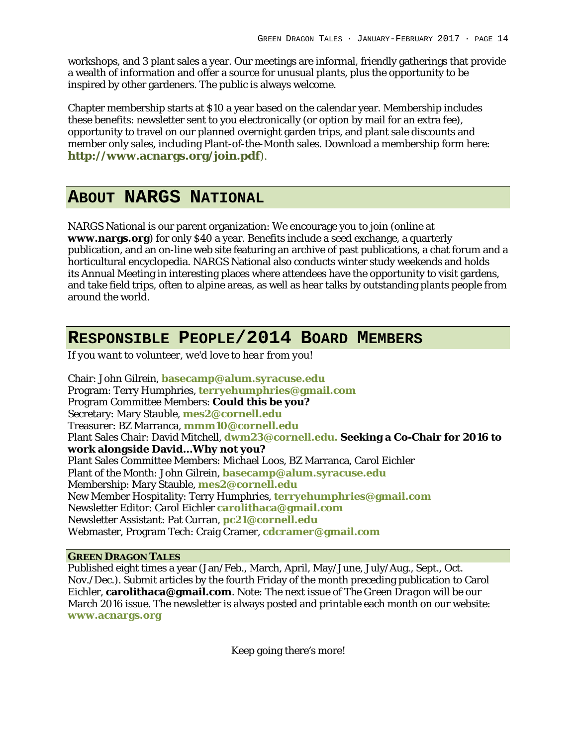workshops, and 3 plant sales a year. Our meetings are informal, friendly gatherings that provide a wealth of information and offer a source for unusual plants, plus the opportunity to be inspired by other gardeners. The public is always welcome.

Chapter membership starts at \$10 a year based on the calendar year. Membership includes these benefits: newsletter sent to you electronically (or option by mail for an extra fee), opportunity to travel on our planned overnight garden trips, and plant sale discounts and member only sales, including Plant-of-the-Month sales. Download a membership form here: **http://www.acnargs.org/join.pdf**).

### **ABOUT NARGS NATIONAL**

NARGS National is our parent organization: We encourage you to join (online at **www.nargs.org**) for only \$40 a year. Benefits include a seed exchange, a quarterly publication, and an on-line web site featuring an archive of past publications, a chat forum and a horticultural encyclopedia. NARGS National also conducts winter study weekends and holds its Annual Meeting in interesting places where attendees have the opportunity to visit gardens, and take field trips, often to alpine areas, as well as hear talks by outstanding plants people from around the world.

### **RESPONSIBLE PEOPLE/2014 BOARD MEMBERS**

*If you want to volunteer, we'd love to hear from you!*

Chair: John Gilrein, **basecamp@alum.syracuse.edu** Program: Terry Humphries, **terryehumphries@gmail.com** Program Committee Members: **Could this be you?** Secretary: Mary Stauble, **mes2@cornell.edu** Treasurer: BZ Marranca, **mmm10@cornell.edu** Plant Sales Chair: David Mitchell, **dwm23@cornell.edu. Seeking a Co-Chair for 2016 to work alongside David…Why not you?** Plant Sales Committee Members: Michael Loos, BZ Marranca, Carol Eichler Plant of the Month: John Gilrein, **basecamp@alum.syracuse.edu** Membership: Mary Stauble, **mes2@cornell.edu** New Member Hospitality: Terry Humphries, **terryehumphries@gmail.com** Newsletter Editor: Carol Eichler **carolithaca@gmail.com** Newsletter Assistant: Pat Curran, **pc21@cornell.edu** Webmaster, Program Tech: Craig Cramer, **cdcramer@gmail.com**

#### **GREEN DRAGON TALES**

Published eight times a year (Jan/Feb., March, April, May/June, July/Aug., Sept., Oct. Nov./Dec.). Submit articles by the fourth Friday of the month preceding publication to Carol Eichler, **carolithaca@gmail.com**. Note: The next issue of *The Green Dragon* will be our March 2016 issue. The newsletter is always posted and printable each month on our website: **www.acnargs.org**

Keep going there's more!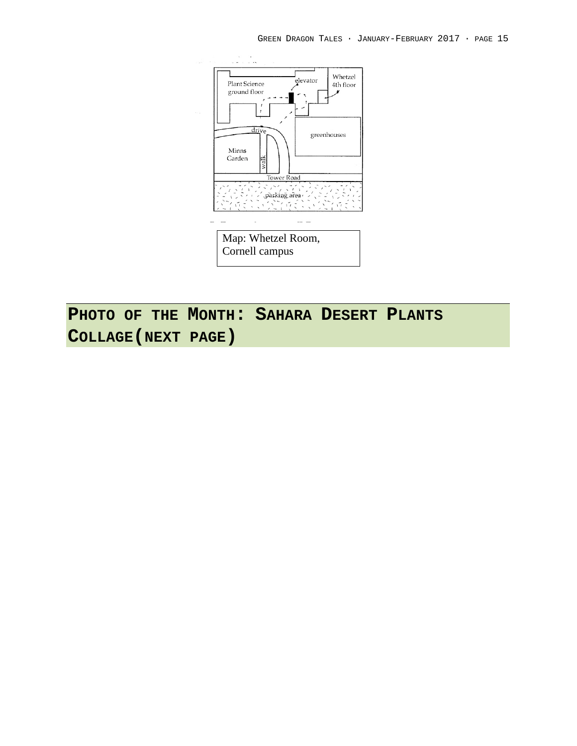

# **PHOTO OF THE MONTH: SAHARA DESERT PLANTS COLLAGE(NEXT PAGE)**